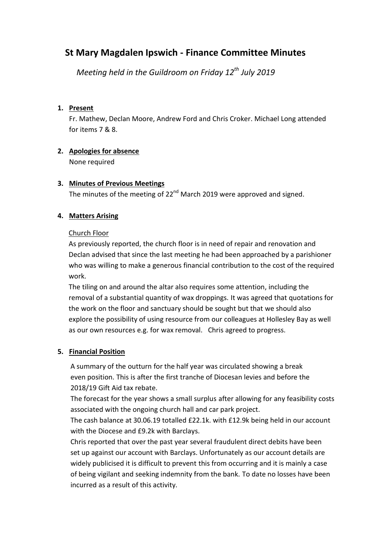# **St Mary Magdalen Ipswich - Finance Committee Minutes**

 *Meeting held in the Guildroom on Friday 12th July 2019*

## **1. Present**

Fr. Mathew, Declan Moore, Andrew Ford and Chris Croker. Michael Long attended for items 7 & 8.

# **2. Apologies for absence**

None required

# **3. Minutes of Previous Meetings**

The minutes of the meeting of 22<sup>nd</sup> March 2019 were approved and signed.

## **4. Matters Arising**

## Church Floor

As previously reported, the church floor is in need of repair and renovation and Declan advised that since the last meeting he had been approached by a parishioner who was willing to make a generous financial contribution to the cost of the required work.

The tiling on and around the altar also requires some attention, including the removal of a substantial quantity of wax droppings. It was agreed that quotations for the work on the floor and sanctuary should be sought but that we should also explore the possibility of using resource from our colleagues at Hollesley Bay as well as our own resources e.g. for wax removal. Chris agreed to progress.

# **5. Financial Position**

 A summary of the outturn for the half year was circulated showing a break even position. This is after the first tranche of Diocesan levies and before the 2018/19 Gift Aid tax rebate.

 The forecast for the year shows a small surplus after allowing for any feasibility costs associated with the ongoing church hall and car park project.

 The cash balance at 30.06.19 totalled £22.1k. with £12.9k being held in our account with the Diocese and £9.2k with Barclays.

 Chris reported that over the past year several fraudulent direct debits have been set up against our account with Barclays. Unfortunately as our account details are widely publicised it is difficult to prevent this from occurring and it is mainly a case of being vigilant and seeking indemnity from the bank. To date no losses have been incurred as a result of this activity.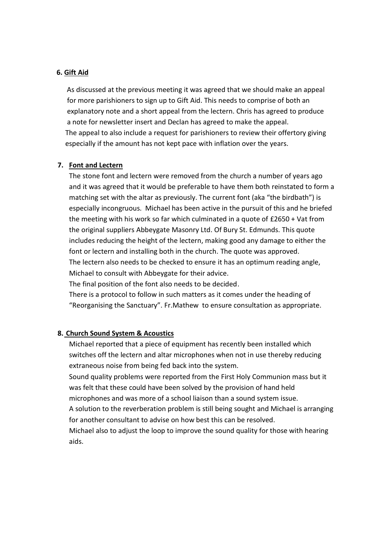#### **6. Gift Aid**

 As discussed at the previous meeting it was agreed that we should make an appeal for more parishioners to sign up to Gift Aid. This needs to comprise of both an explanatory note and a short appeal from the lectern. Chris has agreed to produce a note for newsletter insert and Declan has agreed to make the appeal. The appeal to also include a request for parishioners to review their offertory giving especially if the amount has not kept pace with inflation over the years.

#### **7. Font and Lectern**

The stone font and lectern were removed from the church a number of years ago and it was agreed that it would be preferable to have them both reinstated to form a matching set with the altar as previously. The current font (aka "the birdbath") is especially incongruous. Michael has been active in the pursuit of this and he briefed the meeting with his work so far which culminated in a quote of £2650 + Vat from the original suppliers Abbeygate Masonry Ltd. Of Bury St. Edmunds. This quote includes reducing the height of the lectern, making good any damage to either the font or lectern and installing both in the church. The quote was approved. The lectern also needs to be checked to ensure it has an optimum reading angle, Michael to consult with Abbeygate for their advice.

The final position of the font also needs to be decided.

There is a protocol to follow in such matters as it comes under the heading of "Reorganising the Sanctuary". Fr.Mathew to ensure consultation as appropriate.

#### **8. Church Sound System & Acoustics**

Michael reported that a piece of equipment has recently been installed which switches off the lectern and altar microphones when not in use thereby reducing extraneous noise from being fed back into the system.

Sound quality problems were reported from the First Holy Communion mass but it was felt that these could have been solved by the provision of hand held

microphones and was more of a school liaison than a sound system issue.

A solution to the reverberation problem is still being sought and Michael is arranging for another consultant to advise on how best this can be resolved.

Michael also to adjust the loop to improve the sound quality for those with hearing aids.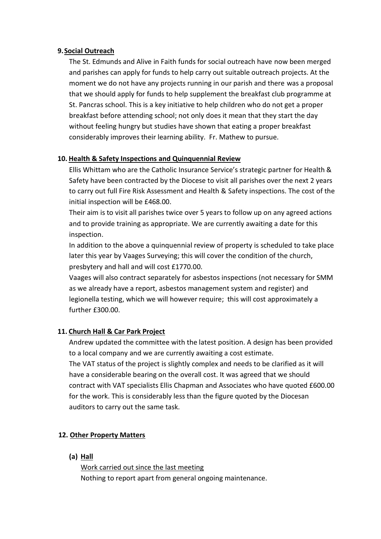#### **9.Social Outreach**

The St. Edmunds and Alive in Faith funds for social outreach have now been merged and parishes can apply for funds to help carry out suitable outreach projects. At the moment we do not have any projects running in our parish and there was a proposal that we should apply for funds to help supplement the breakfast club programme at St. Pancras school. This is a key initiative to help children who do not get a proper breakfast before attending school; not only does it mean that they start the day without feeling hungry but studies have shown that eating a proper breakfast considerably improves their learning ability. Fr. Mathew to pursue.

## **10. Health & Safety Inspections and Quinquennial Review**

Ellis Whittam who are the Catholic Insurance Service's strategic partner for Health & Safety have been contracted by the Diocese to visit all parishes over the next 2 years to carry out full Fire Risk Assessment and Health & Safety inspections. The cost of the initial inspection will be £468.00.

Their aim is to visit all parishes twice over 5 years to follow up on any agreed actions and to provide training as appropriate. We are currently awaiting a date for this inspection.

In addition to the above a quinquennial review of property is scheduled to take place later this year by Vaages Surveying; this will cover the condition of the church, presbytery and hall and will cost £1770.00.

Vaages will also contract separately for asbestos inspections (not necessary for SMM as we already have a report, asbestos management system and register) and legionella testing, which we will however require; this will cost approximately a further £300.00.

#### **11. Church Hall & Car Park Project**

Andrew updated the committee with the latest position. A design has been provided to a local company and we are currently awaiting a cost estimate. The VAT status of the project is slightly complex and needs to be clarified as it will have a considerable bearing on the overall cost. It was agreed that we should contract with VAT specialists Ellis Chapman and Associates who have quoted £600.00 for the work. This is considerably less than the figure quoted by the Diocesan auditors to carry out the same task.

# **12. Other Property Matters**

**(a) Hall**

Work carried out since the last meeting Nothing to report apart from general ongoing maintenance.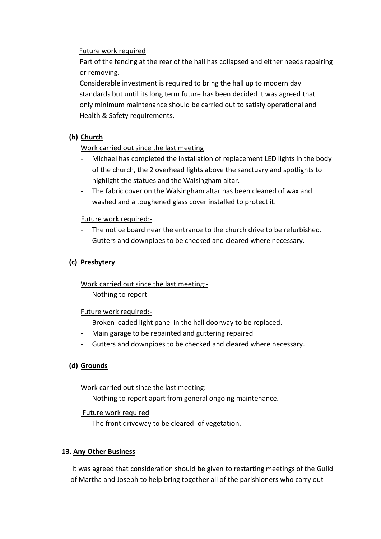## Future work required

 Part of the fencing at the rear of the hall has collapsed and either needs repairing or removing.

 Considerable investment is required to bring the hall up to modern day standards but until its long term future has been decided it was agreed that only minimum maintenance should be carried out to satisfy operational and Health & Safety requirements.

# **(b) Church**

# Work carried out since the last meeting

- Michael has completed the installation of replacement LED lights in the body of the church, the 2 overhead lights above the sanctuary and spotlights to highlight the statues and the Walsingham altar.
- The fabric cover on the Walsingham altar has been cleaned of wax and washed and a toughened glass cover installed to protect it.

# Future work required:-

- The notice board near the entrance to the church drive to be refurbished.
- Gutters and downpipes to be checked and cleared where necessary.

# **(c) Presbytery**

Work carried out since the last meeting:-

Nothing to report

# Future work required:-

- Broken leaded light panel in the hall doorway to be replaced.
- Main garage to be repainted and guttering repaired
- Gutters and downpipes to be checked and cleared where necessary.

# **(d) Grounds**

# Work carried out since the last meeting:-

Nothing to report apart from general ongoing maintenance.

# Future work required

- The front driveway to be cleared of vegetation.

# **13. Any Other Business**

 It was agreed that consideration should be given to restarting meetings of the Guild of Martha and Joseph to help bring together all of the parishioners who carry out